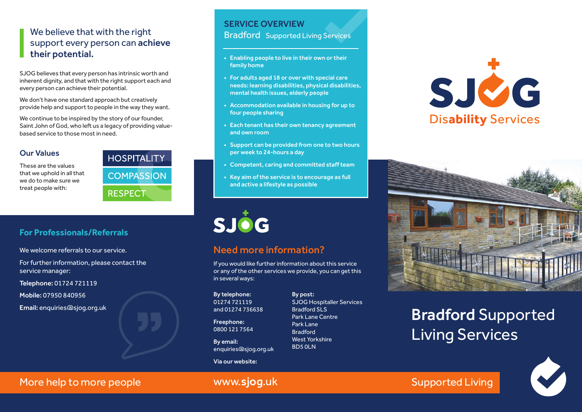# We believe that with the right support every person can achieve their potential.

SJOG believes that every person has intrinsic worth and inherent dignity, and that with the right support each and every person can achieve their potential.

We don't have one standard approach but creatively provide help and support to people in the way they want.

We continue to be inspired by the story of our founder, Saint John of God, who left us a legacy of providing valuebased service to those most in need.

### Our Values

These are the values that we uphold in all that we do to make sure we treat people with:



# SERVICE OVERVIEW

Bradford Supported Living Services

- Enabling people to live in their own or their family home
- For adults aged 18 or over with special care needs: learning disabilities, physical disabilities, mental health issues, elderly people
- Accommodation available in housing for up to four people sharing
- Each tenant has their own tenancy agreement and own room
- Support can be provided from one to two hours per week to 24-hours a day
- Competent, caring and committed staff team
- Key aim of the service is to encourage as full and active a lifestyle as possible



# Need more information?

If you would like further information about this service or any of the other services we provide, you can get this in several ways:

By telephone: 01274 721119 and 01274 736638

Freephone: 0800 121 7564

By email: enquiries@sjog.org.uk

Via our website:

By post: SJOG Hospitaller Services Bradford SLS Park Lane Centre Park Lane Bradford West Yorkshire BD5 0LN





# Bradford Supported Living Services



More help to more people www.sjog.uk Nore help to more people www.siog.uk

# **For Professionals/Referrals**

We welcome referrals to our service.

For further information, please contact the service manager:

Telephone: 01724 721119

Mobile: 07950 840956

Email: enquiries@sjog.org.uk